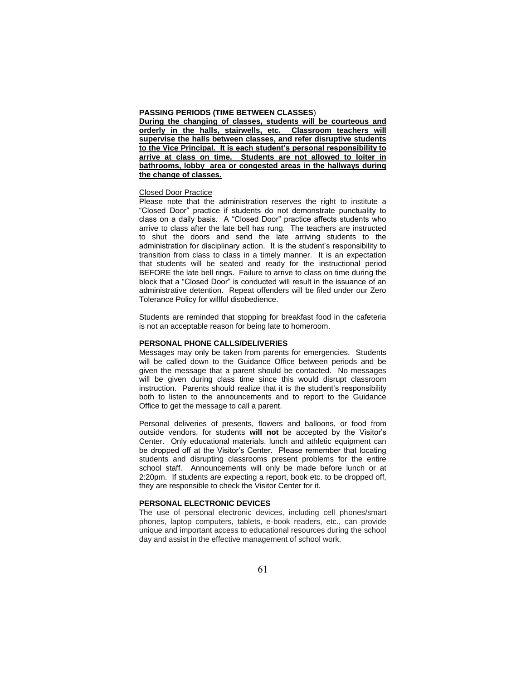#### **PASSING PERIODS (TIME BETWEEN CLASSES**)

**During the changing of classes, students will be courteous and orderly in the halls, stairwells, etc. Classroom teachers will supervise the halls between classes, and refer disruptive students to the Vice Principal. It is each student's personal responsibility to arrive at class on time. Students are not allowed to loiter in bathrooms, lobby area or congested areas in the hallways during the change of classes.**

#### Closed Door Practice

Please note that the administration reserves the right to institute a "Closed Door" practice if students do not demonstrate punctuality to class on a daily basis. A "Closed Door" practice affects students who arrive to class after the late bell has rung. The teachers are instructed to shut the doors and send the late arriving students to the administration for disciplinary action. It is the student's responsibility to transition from class to class in a timely manner. It is an expectation that students will be seated and ready for the instructional period BEFORE the late bell rings. Failure to arrive to class on time during the block that a "Closed Door" is conducted will result in the issuance of an administrative detention. Repeat offenders will be filed under our Zero Tolerance Policy for willful disobedience.

Students are reminded that stopping for breakfast food in the cafeteria is not an acceptable reason for being late to homeroom.

#### **PERSONAL PHONE CALLS/DELIVERIES**

Messages may only be taken from parents for emergencies. Students will be called down to the Guidance Office between periods and be given the message that a parent should be contacted. No messages will be given during class time since this would disrupt classroom instruction. Parents should realize that it is the student's responsibility both to listen to the announcements and to report to the Guidance Office to get the message to call a parent.

Personal deliveries of presents, flowers and balloons, or food from outside vendors, for students **will not** be accepted by the Visitor's Center. Only educational materials, lunch and athletic equipment can be dropped off at the Visitor's Center. Please remember that locating students and disrupting classrooms present problems for the entire school staff. Announcements will only be made before lunch or at 2:20pm. If students are expecting a report, book etc. to be dropped off, they are responsible to check the Visitor Center for it.

#### **PERSONAL ELECTRONIC DEVICES**

The use of personal electronic devices, including cell phones/smart phones, laptop computers, tablets, e-book readers, etc., can provide unique and important access to educational resources during the school day and assist in the effective management of school work.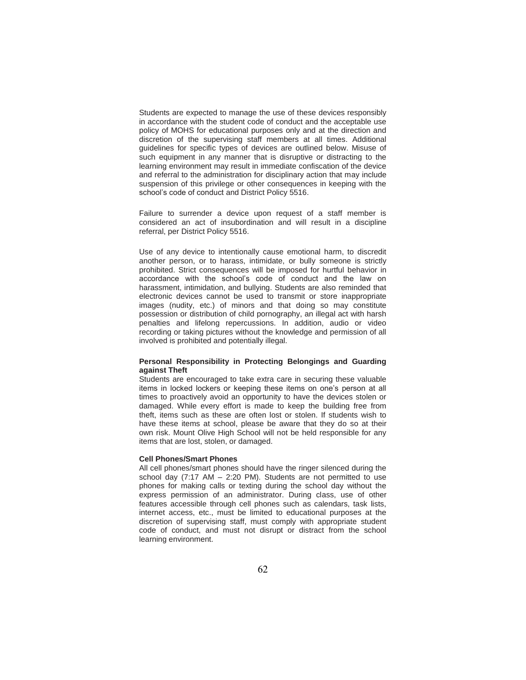Students are expected to manage the use of these devices responsibly in accordance with the student code of conduct and the acceptable use policy of MOHS for educational purposes only and at the direction and discretion of the supervising staff members at all times. Additional guidelines for specific types of devices are outlined below. Misuse of such equipment in any manner that is disruptive or distracting to the learning environment may result in immediate confiscation of the device and referral to the administration for disciplinary action that may include suspension of this privilege or other consequences in keeping with the school's code of conduct and District Policy 5516.

Failure to surrender a device upon request of a staff member is considered an act of insubordination and will result in a discipline referral, per District Policy 5516.

Use of any device to intentionally cause emotional harm, to discredit another person, or to harass, intimidate, or bully someone is strictly prohibited. Strict consequences will be imposed for hurtful behavior in accordance with the school's code of conduct and the law on harassment, intimidation, and bullying. Students are also reminded that electronic devices cannot be used to transmit or store inappropriate images (nudity, etc.) of minors and that doing so may constitute possession or distribution of child pornography, an illegal act with harsh penalties and lifelong repercussions. In addition, audio or video recording or taking pictures without the knowledge and permission of all involved is prohibited and potentially illegal.

### **Personal Responsibility in Protecting Belongings and Guarding against Theft**

Students are encouraged to take extra care in securing these valuable items in locked lockers or keeping these items on one's person at all times to proactively avoid an opportunity to have the devices stolen or damaged. While every effort is made to keep the building free from theft, items such as these are often lost or stolen. If students wish to have these items at school, please be aware that they do so at their own risk. Mount Olive High School will not be held responsible for any items that are lost, stolen, or damaged.

### **Cell Phones/Smart Phones**

All cell phones/smart phones should have the ringer silenced during the school day (7:17 AM – 2:20 PM). Students are not permitted to use phones for making calls or texting during the school day without the express permission of an administrator. During class, use of other features accessible through cell phones such as calendars, task lists, internet access, etc., must be limited to educational purposes at the discretion of supervising staff, must comply with appropriate student code of conduct, and must not disrupt or distract from the school learning environment.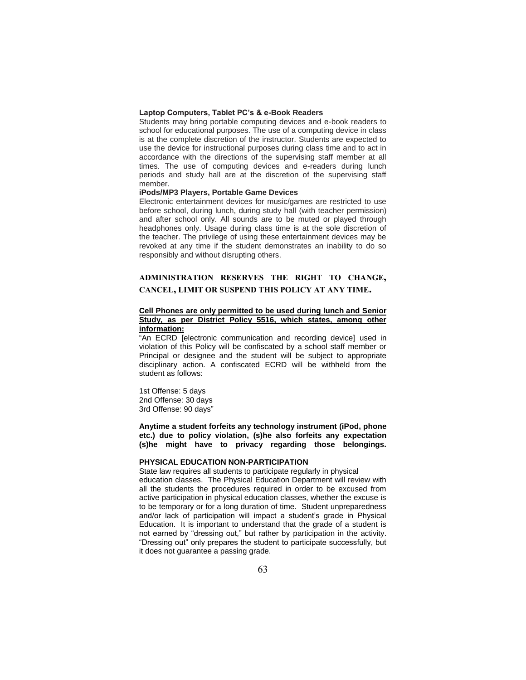### **Laptop Computers, Tablet PC's & e-Book Readers**

Students may bring portable computing devices and e-book readers to school for educational purposes. The use of a computing device in class is at the complete discretion of the instructor. Students are expected to use the device for instructional purposes during class time and to act in accordance with the directions of the supervising staff member at all times. The use of computing devices and e-readers during lunch periods and study hall are at the discretion of the supervising staff member.

### **iPods/MP3 Players, Portable Game Devices**

Electronic entertainment devices for music/games are restricted to use before school, during lunch, during study hall (with teacher permission) and after school only. All sounds are to be muted or played through headphones only. Usage during class time is at the sole discretion of the teacher. The privilege of using these entertainment devices may be revoked at any time if the student demonstrates an inability to do so responsibly and without disrupting others.

# **ADMINISTRATION RESERVES THE RIGHT TO CHANGE, CANCEL, LIMIT OR SUSPEND THIS POLICY AT ANY TIME.**

## **Cell Phones are only permitted to be used during lunch and Senior Study, as per District Policy 5516, which states, among other information:**

"An ECRD [electronic communication and recording device] used in violation of this Policy will be confiscated by a school staff member or Principal or designee and the student will be subject to appropriate disciplinary action. A confiscated ECRD will be withheld from the student as follows:

1st Offense: 5 days 2nd Offense: 30 days 3rd Offense: 90 days"

**Anytime a student forfeits any technology instrument (iPod, phone etc.) due to policy violation, (s)he also forfeits any expectation (s)he might have to privacy regarding those belongings.**

### **PHYSICAL EDUCATION NON-PARTICIPATION**

State law requires all students to participate regularly in physical education classes. The Physical Education Department will review with all the students the procedures required in order to be excused from active participation in physical education classes, whether the excuse is to be temporary or for a long duration of time. Student unpreparedness and/or lack of participation will impact a student's grade in Physical Education. It is important to understand that the grade of a student is not earned by "dressing out," but rather by participation in the activity. "Dressing out" only prepares the student to participate successfully, but it does not guarantee a passing grade.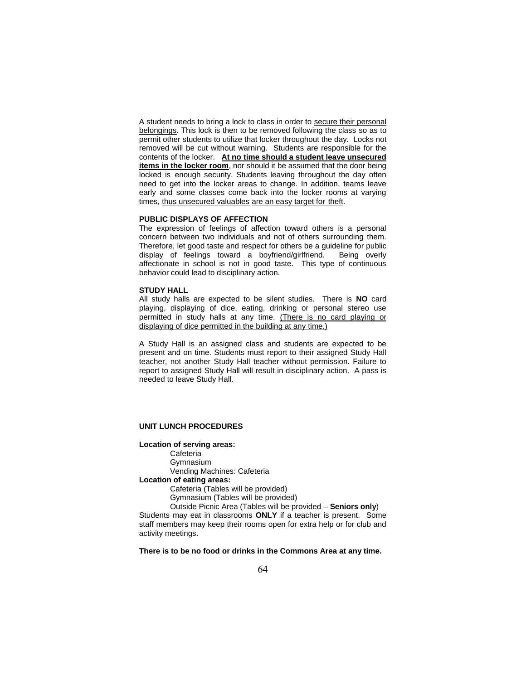A student needs to bring a lock to class in order to secure their personal belongings. This lock is then to be removed following the class so as to permit other students to utilize that locker throughout the day. Locks not removed will be cut without warning. Students are responsible for the contents of the locker. **At no time should a student leave unsecured**  items in the locker room, nor should it be assumed that the door being locked is enough security. Students leaving throughout the day often need to get into the locker areas to change. In addition, teams leave early and some classes come back into the locker rooms at varying times, thus unsecured valuables are an easy target for theft.

#### **PUBLIC DISPLAYS OF AFFECTION**

The expression of feelings of affection toward others is a personal concern between two individuals and not of others surrounding them. Therefore, let good taste and respect for others be a guideline for public display of feelings toward a boyfriend/girlfriend. Being overly affectionate in school is not in good taste. This type of continuous behavior could lead to disciplinary action.

#### **STUDY HALL**

All study halls are expected to be silent studies. There is **NO** card playing, displaying of dice, eating, drinking or personal stereo use permitted in study halls at any time. (There is no card playing or displaying of dice permitted in the building at any time.)

A Study Hall is an assigned class and students are expected to be present and on time. Students must report to their assigned Study Hall teacher, not another Study Hall teacher without permission. Failure to report to assigned Study Hall will result in disciplinary action. A pass is needed to leave Study Hall.

### **UNIT LUNCH PROCEDURES**

### **Location of serving areas:**

Cafeteria Gymnasium Vending Machines: Cafeteria **Location of eating areas:**

Cafeteria (Tables will be provided)

Gymnasium (Tables will be provided)

Outside Picnic Area (Tables will be provided – **Seniors only**)

Students may eat in classrooms **ONLY** if a teacher is present. Some staff members may keep their rooms open for extra help or for club and activity meetings.

**There is to be no food or drinks in the Commons Area at any time.**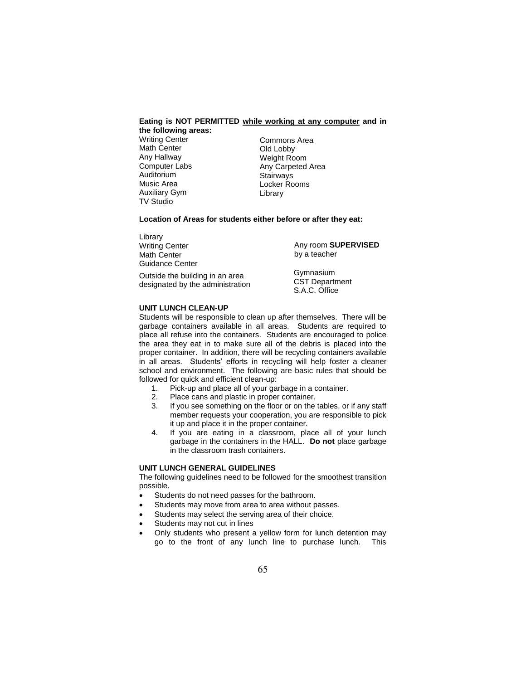#### **Eating is NOT PERMITTED while working at any computer and in the following areas:**

Writing Center Math Center Any Hallway Computer Labs Auditorium Music Area Auxiliary Gym TV Studio

Commons Area Old Lobby Weight Room Any Carpeted Area **Stairways** Locker Rooms Library

### **Location of Areas for students either before or after they eat:**

| Library                                                             |                                                     |
|---------------------------------------------------------------------|-----------------------------------------------------|
| Writing Center                                                      | Any room SUPERVISED                                 |
| Math Center                                                         | by a teacher                                        |
| Guidance Center                                                     |                                                     |
| Outside the building in an area<br>designated by the administration | Gymnasium<br><b>CST Department</b><br>S.A.C. Office |

### **UNIT LUNCH CLEAN-UP**

Students will be responsible to clean up after themselves. There will be garbage containers available in all areas. Students are required to place all refuse into the containers. Students are encouraged to police the area they eat in to make sure all of the debris is placed into the proper container. In addition, there will be recycling containers available in all areas. Students' efforts in recycling will help foster a cleaner school and environment. The following are basic rules that should be followed for quick and efficient clean-up:

- 1. Pick-up and place all of your garbage in a container.
- 2. Place cans and plastic in proper container.
- 3. If you see something on the floor or on the tables, or if any staff member requests your cooperation, you are responsible to pick it up and place it in the proper container.
- 4. If you are eating in a classroom, place all of your lunch garbage in the containers in the HALL. **Do not** place garbage in the classroom trash containers.

## **UNIT LUNCH GENERAL GUIDELINES**

The following guidelines need to be followed for the smoothest transition possible.

- Students do not need passes for the bathroom.
- Students may move from area to area without passes.
- Students may select the serving area of their choice.
- Students may not cut in lines
- Only students who present a yellow form for lunch detention may go to the front of any lunch line to purchase lunch. This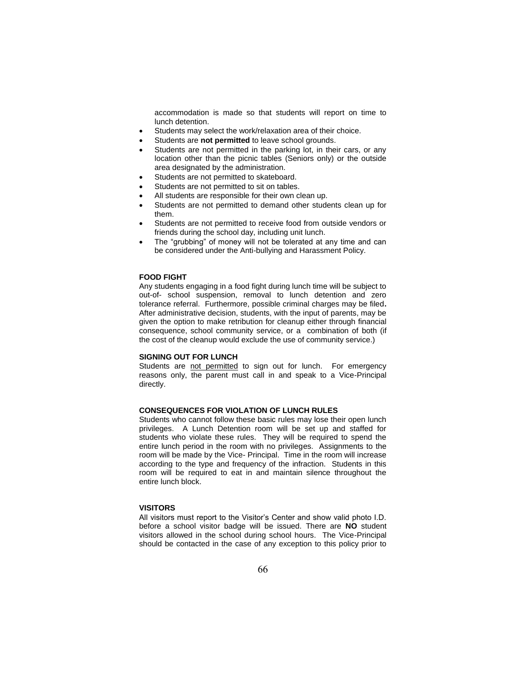accommodation is made so that students will report on time to lunch detention.

- Students may select the work/relaxation area of their choice.
- Students are **not permitted** to leave school grounds.
- Students are not permitted in the parking lot, in their cars, or any location other than the picnic tables (Seniors only) or the outside area designated by the administration.
- Students are not permitted to skateboard.
- Students are not permitted to sit on tables.
- All students are responsible for their own clean up.
- Students are not permitted to demand other students clean up for them.
- Students are not permitted to receive food from outside vendors or friends during the school day, including unit lunch.
- The "grubbing" of money will not be tolerated at any time and can be considered under the Anti-bullying and Harassment Policy.

### **FOOD FIGHT**

Any students engaging in a food fight during lunch time will be subject to out-of- school suspension, removal to lunch detention and zero tolerance referral. Furthermore, possible criminal charges may be filed**.**  After administrative decision, students, with the input of parents, may be given the option to make retribution for cleanup either through financial consequence, school community service, or a combination of both (if the cost of the cleanup would exclude the use of community service.)

### **SIGNING OUT FOR LUNCH**

Students are not permitted to sign out for lunch. For emergency reasons only, the parent must call in and speak to a Vice-Principal directly.

## **CONSEQUENCES FOR VIOLATION OF LUNCH RULES**

Students who cannot follow these basic rules may lose their open lunch privileges. A Lunch Detention room will be set up and staffed for students who violate these rules. They will be required to spend the entire lunch period in the room with no privileges. Assignments to the room will be made by the Vice- Principal. Time in the room will increase according to the type and frequency of the infraction. Students in this room will be required to eat in and maintain silence throughout the entire lunch block.

#### **VISITORS**

All visitors must report to the Visitor's Center and show valid photo I.D. before a school visitor badge will be issued. There are **NO** student visitors allowed in the school during school hours. The Vice-Principal should be contacted in the case of any exception to this policy prior to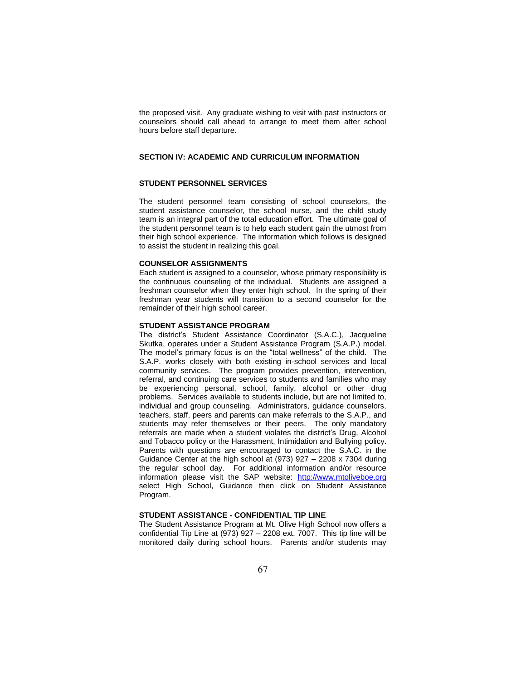the proposed visit. Any graduate wishing to visit with past instructors or counselors should call ahead to arrange to meet them after school hours before staff departure.

## **SECTION IV: ACADEMIC AND CURRICULUM INFORMATION**

### **STUDENT PERSONNEL SERVICES**

The student personnel team consisting of school counselors, the student assistance counselor, the school nurse, and the child study team is an integral part of the total education effort. The ultimate goal of the student personnel team is to help each student gain the utmost from their high school experience. The information which follows is designed to assist the student in realizing this goal.

### **COUNSELOR ASSIGNMENTS**

Each student is assigned to a counselor, whose primary responsibility is the continuous counseling of the individual. Students are assigned a freshman counselor when they enter high school. In the spring of their freshman year students will transition to a second counselor for the remainder of their high school career.

#### **STUDENT ASSISTANCE PROGRAM**

The district's Student Assistance Coordinator (S.A.C.), Jacqueline Skutka, operates under a Student Assistance Program (S.A.P.) model. The model's primary focus is on the "total wellness" of the child. The S.A.P. works closely with both existing in-school services and local community services. The program provides prevention, intervention, referral, and continuing care services to students and families who may be experiencing personal, school, family, alcohol or other drug problems. Services available to students include, but are not limited to, individual and group counseling. Administrators, guidance counselors, teachers, staff, peers and parents can make referrals to the S.A.P., and students may refer themselves or their peers. The only mandatory referrals are made when a student violates the district's Drug, Alcohol and Tobacco policy or the Harassment, Intimidation and Bullying policy. Parents with questions are encouraged to contact the S.A.C. in the Guidance Center at the high school at (973) 927 – 2208 x 7304 during the regular school day. For additional information and/or resource information please visit the SAP website: http://www.mtoliveboe.org select High School, Guidance then click on Student Assistance Program.

## **STUDENT ASSISTANCE - CONFIDENTIAL TIP LINE**

The Student Assistance Program at Mt. Olive High School now offers a confidential Tip Line at (973) 927 – 2208 ext. 7007. This tip line will be monitored daily during school hours. Parents and/or students may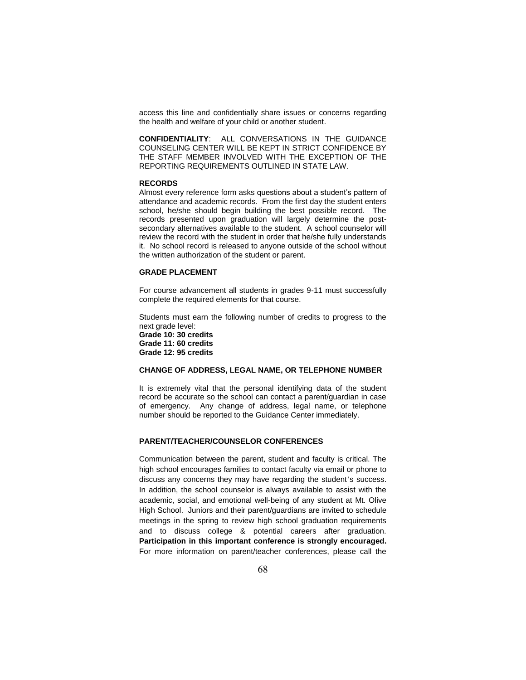access this line and confidentially share issues or concerns regarding the health and welfare of your child or another student.

**CONFIDENTIALITY**: ALL CONVERSATIONS IN THE GUIDANCE COUNSELING CENTER WILL BE KEPT IN STRICT CONFIDENCE BY THE STAFF MEMBER INVOLVED WITH THE EXCEPTION OF THE REPORTING REQUIREMENTS OUTLINED IN STATE LAW.

### **RECORDS**

Almost every reference form asks questions about a student's pattern of attendance and academic records. From the first day the student enters school, he/she should begin building the best possible record. The records presented upon graduation will largely determine the postsecondary alternatives available to the student. A school counselor will review the record with the student in order that he/she fully understands it. No school record is released to anyone outside of the school without the written authorization of the student or parent.

## **GRADE PLACEMENT**

For course advancement all students in grades 9-11 must successfully complete the required elements for that course.

Students must earn the following number of credits to progress to the next grade level: **Grade 10: 30 credits Grade 11: 60 credits**

**Grade 12: 95 credits**

### **CHANGE OF ADDRESS, LEGAL NAME, OR TELEPHONE NUMBER**

It is extremely vital that the personal identifying data of the student record be accurate so the school can contact a parent/guardian in case of emergency. Any change of address, legal name, or telephone number should be reported to the Guidance Center immediately.

## **PARENT/TEACHER/COUNSELOR CONFERENCES**

Communication between the parent, student and faculty is critical. The high school encourages families to contact faculty via email or phone to discuss any concerns they may have regarding the student's success. In addition, the school counselor is always available to assist with the academic, social, and emotional well-being of any student at Mt. Olive High School. Juniors and their parent/guardians are invited to schedule meetings in the spring to review high school graduation requirements and to discuss college & potential careers after graduation. **Participation in this important conference is strongly encouraged.**  For more information on parent/teacher conferences, please call the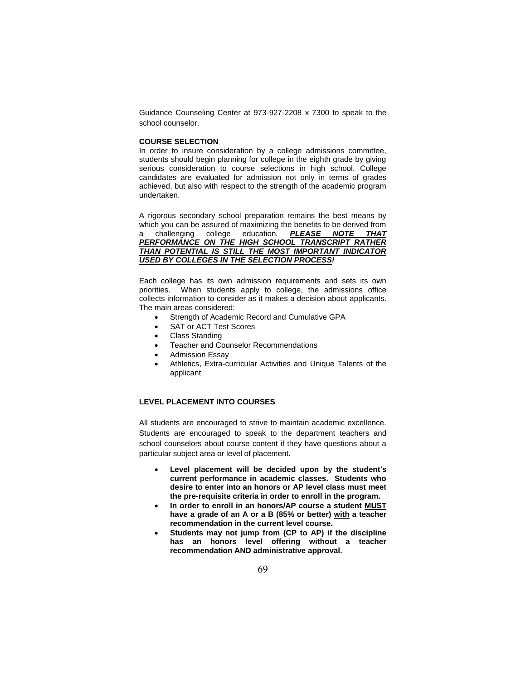Guidance Counseling Center at 973-927-2208 x 7300 to speak to the school counselor.

## **COURSE SELECTION**

In order to insure consideration by a college admissions committee, students should begin planning for college in the eighth grade by giving serious consideration to course selections in high school. College candidates are evaluated for admission not only in terms of grades achieved, but also with respect to the strength of the academic program undertaken.

A rigorous secondary school preparation remains the best means by which you can be assured of maximizing the benefits to be derived from a challenging college education*. PLEASE NOTE THAT PERFORMANCE ON THE HIGH SCHOOL TRANSCRIPT RATHER THAN POTENTIAL IS STILL THE MOST IMPORTANT INDICATOR USED BY COLLEGES IN THE SELECTION PROCESS!*

Each college has its own admission requirements and sets its own priorities. When students apply to college, the admissions office collects information to consider as it makes a decision about applicants. The main areas considered:

- Strength of Academic Record and Cumulative GPA
- SAT or ACT Test Scores
- Class Standing
- Teacher and Counselor Recommendations
- Admission Essay
- Athletics, Extra-curricular Activities and Unique Talents of the applicant

## **LEVEL PLACEMENT INTO COURSES**

All students are encouraged to strive to maintain academic excellence. Students are encouraged to speak to the department teachers and school counselors about course content if they have questions about a particular subject area or level of placement.

- **Level placement will be decided upon by the student's current performance in academic classes. Students who desire to enter into an honors or AP level class must meet the pre-requisite criteria in order to enroll in the program.**
- **In order to enroll in an honors/AP course a student MUST have a grade of an A or a B (85% or better) with a teacher recommendation in the current level course.**
- **Students may not jump from (CP to AP) if the discipline has an honors level offering without a teacher recommendation AND administrative approval.**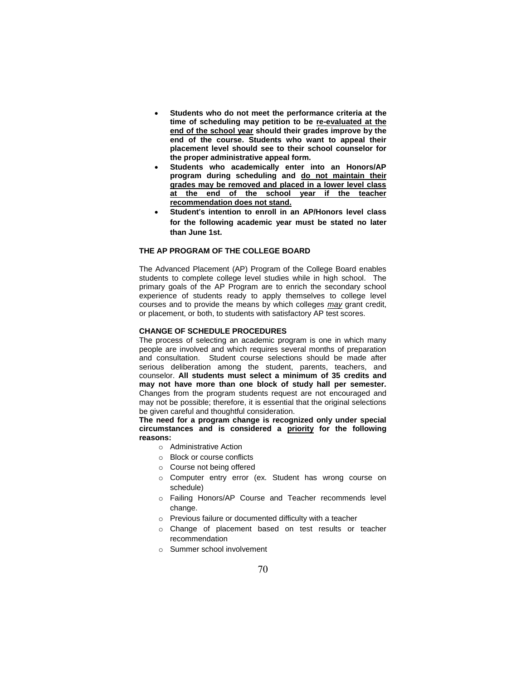- **Students who do not meet the performance criteria at the time of scheduling may petition to be re-evaluated at the end of the school year should their grades improve by the end of the course. Students who want to appeal their placement level should see to their school counselor for the proper administrative appeal form.**
- **Students who academically enter into an Honors/AP program during scheduling and do not maintain their grades may be removed and placed in a lower level class at the end of the school year if the teacher recommendation does not stand.**
- **Student's intention to enroll in an AP/Honors level class for the following academic year must be stated no later than June 1st.**

## **THE AP PROGRAM OF THE COLLEGE BOARD**

The Advanced Placement (AP) Program of the College Board enables students to complete college level studies while in high school. The primary goals of the AP Program are to enrich the secondary school experience of students ready to apply themselves to college level courses and to provide the means by which colleges *may* grant credit, or placement, or both, to students with satisfactory AP test scores.

### **CHANGE OF SCHEDULE PROCEDURES**

The process of selecting an academic program is one in which many people are involved and which requires several months of preparation and consultation. Student course selections should be made after serious deliberation among the student, parents, teachers, and counselor. **All students must select a minimum of 35 credits and may not have more than one block of study hall per semester.** Changes from the program students request are not encouraged and may not be possible; therefore, it is essential that the original selections be given careful and thoughtful consideration.

**The need for a program change is recognized only under special circumstances and is considered a priority for the following reasons:**

- o Administrative Action
- o Block or course conflicts
- o Course not being offered
- o Computer entry error (ex. Student has wrong course on schedule)
- o Failing Honors/AP Course and Teacher recommends level change.
- o Previous failure or documented difficulty with a teacher
- o Change of placement based on test results or teacher recommendation
- o Summer school involvement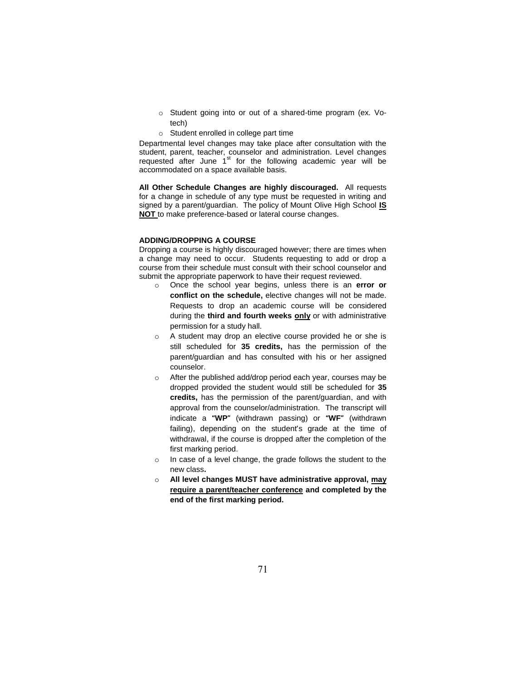- o Student going into or out of a shared-time program (ex. Votech)
- o Student enrolled in college part time

Departmental level changes may take place after consultation with the student, parent, teacher, counselor and administration. Level changes requested after June  $1<sup>st</sup>$  for the following academic year will be accommodated on a space available basis.

**All Other Schedule Changes are highly discouraged.** All requests for a change in schedule of any type must be requested in writing and signed by a parent/guardian. The policy of Mount Olive High School **IS NOT** to make preference-based or lateral course changes.

## **ADDING/DROPPING A COURSE**

Dropping a course is highly discouraged however; there are times when a change may need to occur. Students requesting to add or drop a course from their schedule must consult with their school counselor and submit the appropriate paperwork to have their request reviewed.

- o Once the school year begins, unless there is an **error or conflict on the schedule,** elective changes will not be made. Requests to drop an academic course will be considered during the **third and fourth weeks only** or with administrative permission for a study hall.
- o A student may drop an elective course provided he or she is still scheduled for **35 credits,** has the permission of the parent/guardian and has consulted with his or her assigned counselor.
- o After the published add/drop period each year, courses may be dropped provided the student would still be scheduled for **35 credits,** has the permission of the parent/guardian, and with approval from the counselor/administration. The transcript will indicate a **"WP"** (withdrawn passing) or **"WF"** (withdrawn failing), depending on the student's grade at the time of withdrawal, if the course is dropped after the completion of the first marking period.
- o In case of a level change, the grade follows the student to the new class**.**
- o **All level changes MUST have administrative approval, may require a parent/teacher conference and completed by the end of the first marking period.**